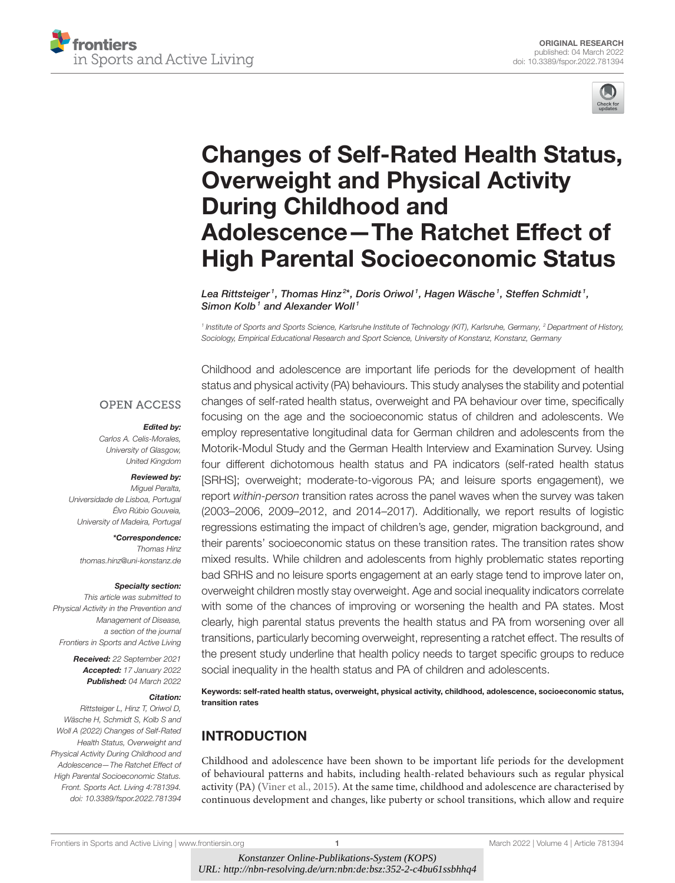



# [Changes of Self-Rated Health Status,](https://www.frontiersin.org/articles/10.3389/fspor.2022.781394/full) Overweight and Physical Activity During Childhood and Adolescence—The Ratchet Effect of High Parental Socioeconomic Status

Lea Rittsteiger1, Thomas Hinz $^{2\star}$ , Doris Oriwol1, Hagen Wäsche1, Steffen Schmidt1, Simon Kolb<sup>1</sup> and Alexander Woll<sup>1</sup>

<sup>1</sup> Institute of Sports and Sports Science, Karlsruhe Institute of Technology (KIT), Karlsruhe, Germany, <sup>2</sup> Department of History, Sociology, Empirical Educational Research and Sport Science, University of Konstanz, Konstanz, Germany

#### **OPEN ACCESS**

#### Edited by:

Carlos A. Celis-Morales, University of Glasgow, United Kingdom

#### Reviewed by:

Miguel Peralta, Universidade de Lisboa, Portugal Élvo Rúbio Gouveia, University of Madeira, Portugal

\*Correspondence: Thomas Hinz [thomas.hinz@uni-konstanz.de](mailto:thomas.hinz@uni-konstanz.de)

#### Specialty section:

This article was submitted to Physical Activity in the Prevention and Management of Disease, a section of the journal Frontiers in Sports and Active Living

> Received: 22 September 2021 Accepted: 17 January 2022 Published: 04 March 2022

#### Citation:

Rittsteiger L, Hinz T, Oriwol D, Wäsche H, Schmidt S, Kolb S and Woll A (2022) Changes of Self-Rated Health Status, Overweight and Physical Activity During Childhood and Adolescence—The Ratchet Effect of High Parental Socioeconomic Status. Front. Sports Act. Living 4:781394. doi: [10.3389/fspor.2022.781394](https://doi.org/10.3389/fspor.2022.781394)

Childhood and adolescence are important life periods for the development of health status and physical activity (PA) behaviours. This study analyses the stability and potential changes of self-rated health status, overweight and PA behaviour over time, specifically focusing on the age and the socioeconomic status of children and adolescents. We employ representative longitudinal data for German children and adolescents from the Motorik-Modul Study and the German Health Interview and Examination Survey. Using four different dichotomous health status and PA indicators (self-rated health status [SRHS]; overweight; moderate-to-vigorous PA; and leisure sports engagement), we report within-person transition rates across the panel waves when the survey was taken (2003–2006, 2009–2012, and 2014–2017). Additionally, we report results of logistic regressions estimating the impact of children's age, gender, migration background, and their parents' socioeconomic status on these transition rates. The transition rates show mixed results. While children and adolescents from highly problematic states reporting bad SRHS and no leisure sports engagement at an early stage tend to improve later on, overweight children mostly stay overweight. Age and social inequality indicators correlate with some of the chances of improving or worsening the health and PA states. Most clearly, high parental status prevents the health status and PA from worsening over all transitions, particularly becoming overweight, representing a ratchet effect. The results of the present study underline that health policy needs to target specific groups to reduce social inequality in the health status and PA of children and adolescents.

Keywords: self-rated health status, overweight, physical activity, childhood, adolescence, socioeconomic status, transition rates

# INTRODUCTION

Childhood and adolescence have been shown to be important life periods for the development of behavioural patterns and habits, including health-related behaviours such as regular physical activity (PA) [\(Viner et al., 2015\)](#page-10-0). At the same time, childhood and adolescence are characterised by continuous development and changes, like puberty or school transitions, which allow and require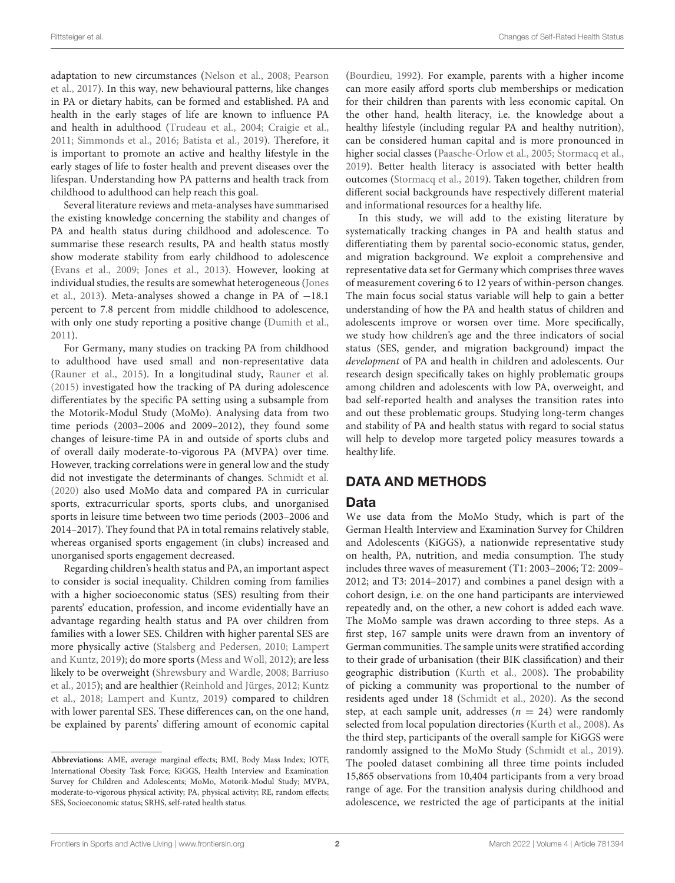adaptation to new circumstances [\(Nelson et al., 2008;](#page-9-0) Pearson et al., [2017\)](#page-9-1). In this way, new behavioural patterns, like changes in PA or dietary habits, can be formed and established. PA and health in the early stages of life are known to influence PA and health in adulthood [\(Trudeau et al., 2004;](#page-10-1) [Craigie et al.,](#page-9-2) [2011;](#page-9-2) [Simmonds et al., 2016;](#page-10-2) [Batista et al., 2019\)](#page-9-3). Therefore, it is important to promote an active and healthy lifestyle in the early stages of life to foster health and prevent diseases over the lifespan. Understanding how PA patterns and health track from childhood to adulthood can help reach this goal.

Several literature reviews and meta-analyses have summarised the existing knowledge concerning the stability and changes of PA and health status during childhood and adolescence. To summarise these research results, PA and health status mostly show moderate stability from early childhood to adolescence [\(Evans et al., 2009;](#page-9-4) [Jones et al., 2013\)](#page-9-5). However, looking at individual studies, the results are somewhat heterogeneous (Jones et al., [2013\)](#page-9-5). Meta-analyses showed a change in PA of −18.1 percent to 7.8 percent from middle childhood to adolescence, with only one study reporting a positive change [\(Dumith et al.,](#page-9-6) [2011\)](#page-9-6).

For Germany, many studies on tracking PA from childhood to adulthood have used small and non-representative data [\(Rauner et al., 2015\)](#page-9-7). In a longitudinal study, [Rauner et al.](#page-9-7) [\(2015\)](#page-9-7) investigated how the tracking of PA during adolescence differentiates by the specific PA setting using a subsample from the Motorik-Modul Study (MoMo). Analysing data from two time periods (2003–2006 and 2009–2012), they found some changes of leisure-time PA in and outside of sports clubs and of overall daily moderate-to-vigorous PA (MVPA) over time. However, tracking correlations were in general low and the study did not investigate the determinants of changes. [Schmidt et al.](#page-10-3) [\(2020\)](#page-10-3) also used MoMo data and compared PA in curricular sports, extracurricular sports, sports clubs, and unorganised sports in leisure time between two time periods (2003–2006 and 2014–2017). They found that PA in total remains relatively stable, whereas organised sports engagement (in clubs) increased and unorganised sports engagement decreased.

Regarding children's health status and PA, an important aspect to consider is social inequality. Children coming from families with a higher socioeconomic status (SES) resulting from their parents' education, profession, and income evidentially have an advantage regarding health status and PA over children from families with a lower SES. Children with higher parental SES are more physically active [\(Stalsberg and Pedersen, 2010;](#page-10-4) Lampert and Kuntz, [2019\)](#page-9-8); do more sports [\(Mess and Woll, 2012\)](#page-9-9); are less likely to be overweight [\(Shrewsbury and Wardle, 2008;](#page-10-5) Barriuso et al., [2015\)](#page-9-10); and are healthier [\(Reinhold and Jürges, 2012;](#page-9-11) Kuntz et al., [2018;](#page-9-12) [Lampert and Kuntz, 2019\)](#page-9-8) compared to children with lower parental SES. These differences can, on the one hand, be explained by parents' differing amount of economic capital [\(Bourdieu, 1992\)](#page-9-13). For example, parents with a higher income can more easily afford sports club memberships or medication for their children than parents with less economic capital. On the other hand, health literacy, i.e. the knowledge about a healthy lifestyle (including regular PA and healthy nutrition), can be considered human capital and is more pronounced in higher social classes [\(Paasche-Orlow et al., 2005;](#page-9-14) [Stormacq et al.,](#page-10-6) [2019\)](#page-10-6). Better health literacy is associated with better health outcomes [\(Stormacq et al., 2019\)](#page-10-6). Taken together, children from different social backgrounds have respectively different material and informational resources for a healthy life.

In this study, we will add to the existing literature by systematically tracking changes in PA and health status and differentiating them by parental socio-economic status, gender, and migration background. We exploit a comprehensive and representative data set for Germany which comprises three waves of measurement covering 6 to 12 years of within-person changes. The main focus social status variable will help to gain a better understanding of how the PA and health status of children and adolescents improve or worsen over time. More specifically, we study how children's age and the three indicators of social status (SES, gender, and migration background) impact the development of PA and health in children and adolescents. Our research design specifically takes on highly problematic groups among children and adolescents with low PA, overweight, and bad self-reported health and analyses the transition rates into and out these problematic groups. Studying long-term changes and stability of PA and health status with regard to social status will help to develop more targeted policy measures towards a healthy life.

# DATA AND METHODS

### Data

We use data from the MoMo Study, which is part of the German Health Interview and Examination Survey for Children and Adolescents (KiGGS), a nationwide representative study on health, PA, nutrition, and media consumption. The study includes three waves of measurement (T1: 2003–2006; T2: 2009– 2012; and T3: 2014–2017) and combines a panel design with a cohort design, i.e. on the one hand participants are interviewed repeatedly and, on the other, a new cohort is added each wave. The MoMo sample was drawn according to three steps. As a first step, 167 sample units were drawn from an inventory of German communities. The sample units were stratified according to their grade of urbanisation (their BIK classification) and their geographic distribution [\(Kurth et al., 2008\)](#page-9-15). The probability of picking a community was proportional to the number of residents aged under 18 [\(Schmidt et al., 2020\)](#page-10-3). As the second step, at each sample unit, addresses  $(n = 24)$  were randomly selected from local population directories [\(Kurth et al., 2008\)](#page-9-15). As the third step, participants of the overall sample for KiGGS were randomly assigned to the MoMo Study [\(Schmidt et al., 2019\)](#page-10-7). The pooled dataset combining all three time points included 15,865 observations from 10,404 participants from a very broad range of age. For the transition analysis during childhood and adolescence, we restricted the age of participants at the initial

**Abbreviations:** AME, average marginal effects; BMI, Body Mass Index; IOTF, International Obesity Task Force; KiGGS, Health Interview and Examination Survey for Children and Adolescents; MoMo, Motorik-Modul Study; MVPA, moderate-to-vigorous physical activity; PA, physical activity; RE, random effects; SES, Socioeconomic status; SRHS, self-rated health status.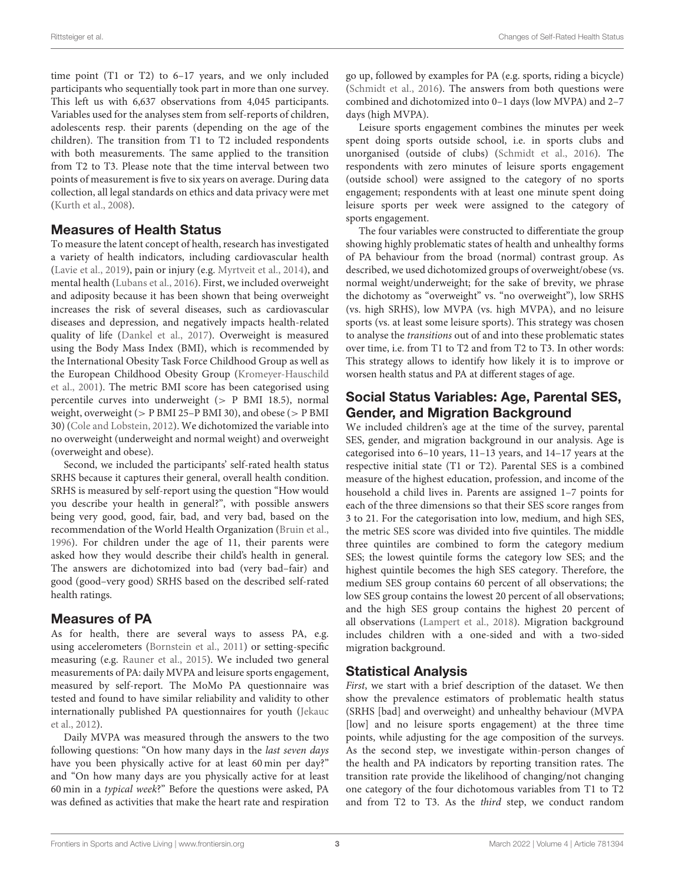time point (T1 or T2) to 6–17 years, and we only included participants who sequentially took part in more than one survey. This left us with 6,637 observations from 4,045 participants. Variables used for the analyses stem from self-reports of children, adolescents resp. their parents (depending on the age of the children). The transition from T1 to T2 included respondents with both measurements. The same applied to the transition from T2 to T3. Please note that the time interval between two points of measurement is five to six years on average. During data collection, all legal standards on ethics and data privacy were met [\(Kurth et al., 2008\)](#page-9-15).

### Measures of Health Status

To measure the latent concept of health, research has investigated a variety of health indicators, including cardiovascular health [\(Lavie et al., 2019\)](#page-9-16), pain or injury (e.g. [Myrtveit et al., 2014\)](#page-9-17), and mental health [\(Lubans et al., 2016\)](#page-9-18). First, we included overweight and adiposity because it has been shown that being overweight increases the risk of several diseases, such as cardiovascular diseases and depression, and negatively impacts health-related quality of life [\(Dankel et al., 2017\)](#page-9-19). Overweight is measured using the Body Mass Index (BMI), which is recommended by the International Obesity Task Force Childhood Group as well as the European Childhood Obesity Group (Kromeyer-Hauschild et al., [2001\)](#page-9-20). The metric BMI score has been categorised using percentile curves into underweight (> P BMI 18.5), normal weight, overweight (> P BMI 25–P BMI 30), and obese (> P BMI 30) [\(Cole and Lobstein, 2012\)](#page-9-21). We dichotomized the variable into no overweight (underweight and normal weight) and overweight (overweight and obese).

Second, we included the participants' self-rated health status SRHS because it captures their general, overall health condition. SRHS is measured by self-report using the question "How would you describe your health in general?", with possible answers being very good, good, fair, bad, and very bad, based on the recommendation of the World Health Organization [\(Bruin et al.,](#page-9-22) [1996\)](#page-9-22). For children under the age of 11, their parents were asked how they would describe their child's health in general. The answers are dichotomized into bad (very bad–fair) and good (good–very good) SRHS based on the described self-rated health ratings.

# Measures of PA

As for health, there are several ways to assess PA, e.g. using accelerometers [\(Bornstein et al., 2011\)](#page-9-23) or setting-specific measuring (e.g. [Rauner et al., 2015\)](#page-9-7). We included two general measurements of PA: daily MVPA and leisure sports engagement, measured by self-report. The MoMo PA questionnaire was tested and found to have similar reliability and validity to other internationally published PA questionnaires for youth (Jekauc et al., [2012\)](#page-9-24).

Daily MVPA was measured through the answers to the two following questions: "On how many days in the last seven days have you been physically active for at least 60 min per day?" and "On how many days are you physically active for at least 60 min in a typical week?" Before the questions were asked, PA was defined as activities that make the heart rate and respiration go up, followed by examples for PA (e.g. sports, riding a bicycle) [\(Schmidt et al., 2016\)](#page-10-8). The answers from both questions were combined and dichotomized into 0–1 days (low MVPA) and 2–7 days (high MVPA).

Leisure sports engagement combines the minutes per week spent doing sports outside school, i.e. in sports clubs and unorganised (outside of clubs) [\(Schmidt et al., 2016\)](#page-10-8). The respondents with zero minutes of leisure sports engagement (outside school) were assigned to the category of no sports engagement; respondents with at least one minute spent doing leisure sports per week were assigned to the category of sports engagement.

The four variables were constructed to differentiate the group showing highly problematic states of health and unhealthy forms of PA behaviour from the broad (normal) contrast group. As described, we used dichotomized groups of overweight/obese (vs. normal weight/underweight; for the sake of brevity, we phrase the dichotomy as "overweight" vs. "no overweight"), low SRHS (vs. high SRHS), low MVPA (vs. high MVPA), and no leisure sports (vs. at least some leisure sports). This strategy was chosen to analyse the transitions out of and into these problematic states over time, i.e. from T1 to T2 and from T2 to T3. In other words: This strategy allows to identify how likely it is to improve or worsen health status and PA at different stages of age.

# Social Status Variables: Age, Parental SES, Gender, and Migration Background

We included children's age at the time of the survey, parental SES, gender, and migration background in our analysis. Age is categorised into 6–10 years, 11–13 years, and 14–17 years at the respective initial state (T1 or T2). Parental SES is a combined measure of the highest education, profession, and income of the household a child lives in. Parents are assigned 1–7 points for each of the three dimensions so that their SES score ranges from 3 to 21. For the categorisation into low, medium, and high SES, the metric SES score was divided into five quintiles. The middle three quintiles are combined to form the category medium SES; the lowest quintile forms the category low SES; and the highest quintile becomes the high SES category. Therefore, the medium SES group contains 60 percent of all observations; the low SES group contains the lowest 20 percent of all observations; and the high SES group contains the highest 20 percent of all observations [\(Lampert et al., 2018\)](#page-9-25). Migration background includes children with a one-sided and with a two-sided migration background.

# Statistical Analysis

First, we start with a brief description of the dataset. We then show the prevalence estimators of problematic health status (SRHS [bad] and overweight) and unhealthy behaviour (MVPA [low] and no leisure sports engagement) at the three time points, while adjusting for the age composition of the surveys. As the second step, we investigate within-person changes of the health and PA indicators by reporting transition rates. The transition rate provide the likelihood of changing/not changing one category of the four dichotomous variables from T1 to T2 and from T2 to T3. As the third step, we conduct random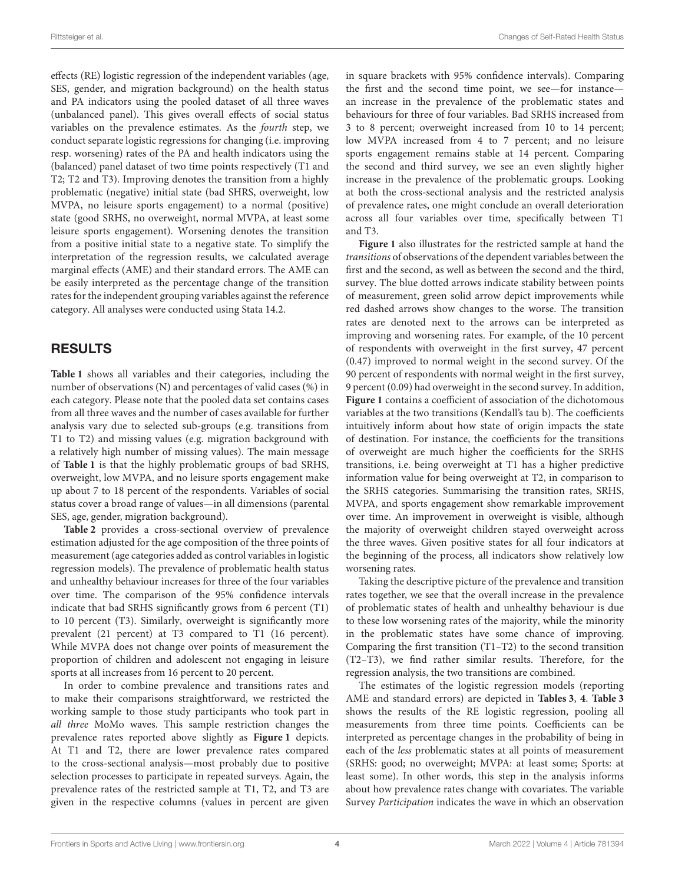effects (RE) logistic regression of the independent variables (age, SES, gender, and migration background) on the health status and PA indicators using the pooled dataset of all three waves (unbalanced panel). This gives overall effects of social status variables on the prevalence estimates. As the fourth step, we conduct separate logistic regressions for changing (i.e. improving resp. worsening) rates of the PA and health indicators using the (balanced) panel dataset of two time points respectively (T1 and T2; T2 and T3). Improving denotes the transition from a highly problematic (negative) initial state (bad SHRS, overweight, low MVPA, no leisure sports engagement) to a normal (positive) state (good SRHS, no overweight, normal MVPA, at least some leisure sports engagement). Worsening denotes the transition from a positive initial state to a negative state. To simplify the interpretation of the regression results, we calculated average marginal effects (AME) and their standard errors. The AME can be easily interpreted as the percentage change of the transition rates for the independent grouping variables against the reference category. All analyses were conducted using Stata 14.2.

### RESULTS

**[Table 1](#page-4-0)** shows all variables and their categories, including the number of observations (N) and percentages of valid cases (%) in each category. Please note that the pooled data set contains cases from all three waves and the number of cases available for further analysis vary due to selected sub-groups (e.g. transitions from T1 to T2) and missing values (e.g. migration background with a relatively high number of missing values). The main message of **[Table 1](#page-4-0)** is that the highly problematic groups of bad SRHS, overweight, low MVPA, and no leisure sports engagement make up about 7 to 18 percent of the respondents. Variables of social status cover a broad range of values—in all dimensions (parental SES, age, gender, migration background).

**[Table 2](#page-5-0)** provides a cross-sectional overview of prevalence estimation adjusted for the age composition of the three points of measurement (age categories added as control variables in logistic regression models). The prevalence of problematic health status and unhealthy behaviour increases for three of the four variables over time. The comparison of the 95% confidence intervals indicate that bad SRHS significantly grows from 6 percent (T1) to 10 percent (T3). Similarly, overweight is significantly more prevalent (21 percent) at T3 compared to T1 (16 percent). While MVPA does not change over points of measurement the proportion of children and adolescent not engaging in leisure sports at all increases from 16 percent to 20 percent.

In order to combine prevalence and transitions rates and to make their comparisons straightforward, we restricted the working sample to those study participants who took part in all three MoMo waves. This sample restriction changes the prevalence rates reported above slightly as **[Figure 1](#page-5-1)** depicts. At T1 and T2, there are lower prevalence rates compared to the cross-sectional analysis—most probably due to positive selection processes to participate in repeated surveys. Again, the prevalence rates of the restricted sample at T1, T2, and T3 are given in the respective columns (values in percent are given in square brackets with 95% confidence intervals). Comparing the first and the second time point, we see—for instance an increase in the prevalence of the problematic states and behaviours for three of four variables. Bad SRHS increased from 3 to 8 percent; overweight increased from 10 to 14 percent; low MVPA increased from 4 to 7 percent; and no leisure sports engagement remains stable at 14 percent. Comparing the second and third survey, we see an even slightly higher increase in the prevalence of the problematic groups. Looking at both the cross-sectional analysis and the restricted analysis of prevalence rates, one might conclude an overall deterioration across all four variables over time, specifically between T1 and T3.

**[Figure 1](#page-5-1)** also illustrates for the restricted sample at hand the transitions of observations of the dependent variables between the first and the second, as well as between the second and the third, survey. The blue dotted arrows indicate stability between points of measurement, green solid arrow depict improvements while red dashed arrows show changes to the worse. The transition rates are denoted next to the arrows can be interpreted as improving and worsening rates. For example, of the 10 percent of respondents with overweight in the first survey, 47 percent (0.47) improved to normal weight in the second survey. Of the 90 percent of respondents with normal weight in the first survey, 9 percent (0.09) had overweight in the second survey. In addition, **[Figure 1](#page-5-1)** contains a coefficient of association of the dichotomous variables at the two transitions (Kendall's tau b). The coefficients intuitively inform about how state of origin impacts the state of destination. For instance, the coefficients for the transitions of overweight are much higher the coefficients for the SRHS transitions, i.e. being overweight at T1 has a higher predictive information value for being overweight at T2, in comparison to the SRHS categories. Summarising the transition rates, SRHS, MVPA, and sports engagement show remarkable improvement over time. An improvement in overweight is visible, although the majority of overweight children stayed overweight across the three waves. Given positive states for all four indicators at the beginning of the process, all indicators show relatively low worsening rates.

Taking the descriptive picture of the prevalence and transition rates together, we see that the overall increase in the prevalence of problematic states of health and unhealthy behaviour is due to these low worsening rates of the majority, while the minority in the problematic states have some chance of improving. Comparing the first transition (T1–T2) to the second transition (T2–T3), we find rather similar results. Therefore, for the regression analysis, the two transitions are combined.

The estimates of the logistic regression models (reporting AME and standard errors) are depicted in **[Tables 3](#page-6-0)**, **[4](#page-6-1)**. **[Table 3](#page-6-0)** shows the results of the RE logistic regression, pooling all measurements from three time points. Coefficients can be interpreted as percentage changes in the probability of being in each of the less problematic states at all points of measurement (SRHS: good; no overweight; MVPA: at least some; Sports: at least some). In other words, this step in the analysis informs about how prevalence rates change with covariates. The variable Survey Participation indicates the wave in which an observation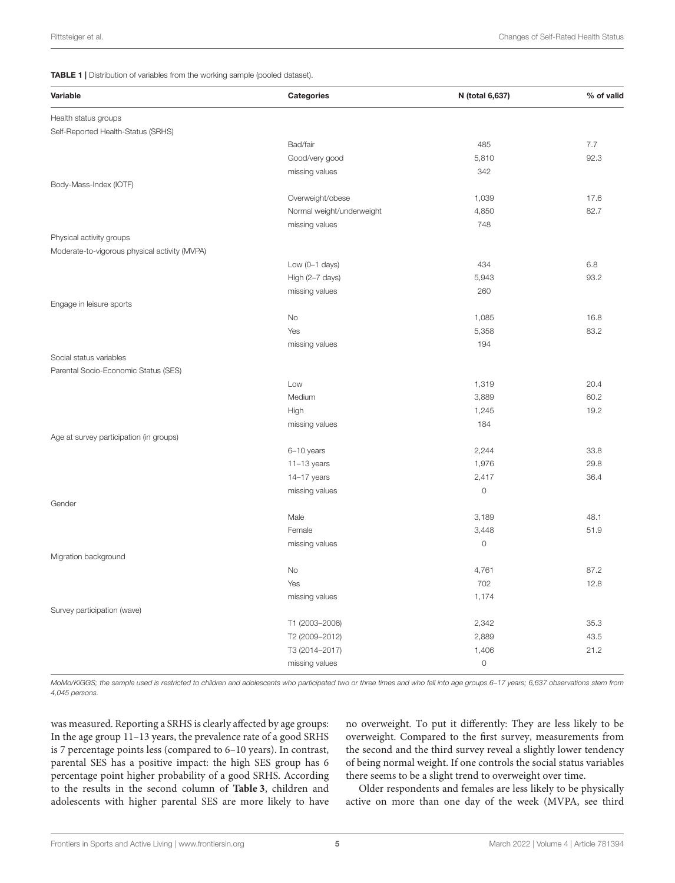<span id="page-4-0"></span>TABLE 1 | Distribution of variables from the working sample (pooled dataset).

| Variable                                      | <b>Categories</b>         | N (total 6,637)     | % of valid |
|-----------------------------------------------|---------------------------|---------------------|------------|
| Health status groups                          |                           |                     |            |
| Self-Reported Health-Status (SRHS)            |                           |                     |            |
|                                               | Bad/fair                  | 485                 | 7.7        |
|                                               | Good/very good            | 5,810               | 92.3       |
|                                               | missing values            | 342                 |            |
| Body-Mass-Index (IOTF)                        |                           |                     |            |
|                                               | Overweight/obese          | 1,039               | 17.6       |
|                                               | Normal weight/underweight | 4,850               | 82.7       |
|                                               | missing values            | 748                 |            |
| Physical activity groups                      |                           |                     |            |
| Moderate-to-vigorous physical activity (MVPA) |                           |                     |            |
|                                               | Low $(O-1$ days)          | 434                 | 6.8        |
|                                               | High (2-7 days)           | 5,943               | 93.2       |
|                                               | missing values            | 260                 |            |
| Engage in leisure sports                      |                           |                     |            |
|                                               | <b>No</b>                 | 1,085               | 16.8       |
|                                               | Yes                       | 5,358               | 83.2       |
|                                               | missing values            | 194                 |            |
| Social status variables                       |                           |                     |            |
| Parental Socio-Economic Status (SES)          |                           |                     |            |
|                                               | Low                       | 1,319               | 20.4       |
|                                               | Medium                    | 3,889               | 60.2       |
|                                               | High                      | 1,245               | 19.2       |
|                                               | missing values            | 184                 |            |
| Age at survey participation (in groups)       |                           |                     |            |
|                                               | 6-10 years                | 2,244               | 33.8       |
|                                               | $11-13$ years             | 1,976               | 29.8       |
|                                               | 14-17 years               | 2,417               | 36.4       |
|                                               | missing values            | $\mathsf{O}\xspace$ |            |
| Gender                                        |                           |                     |            |
|                                               | Male                      | 3,189               | 48.1       |
|                                               | Female                    | 3,448               | 51.9       |
|                                               | missing values            | $\mathsf{O}\xspace$ |            |
| Migration background                          |                           |                     |            |
|                                               | No                        | 4,761               | 87.2       |
|                                               | Yes                       | 702                 | 12.8       |
|                                               | missing values            | 1,174               |            |
| Survey participation (wave)                   |                           |                     |            |
|                                               | T1 (2003-2006)            | 2,342               | 35.3       |
|                                               | T2 (2009-2012)            | 2,889               | 43.5       |
|                                               | T3 (2014-2017)            | 1,406               | 21.2       |
|                                               | missing values            | $\circ$             |            |

MoMo/KiGGS; the sample used is restricted to children and adolescents who participated two or three times and who fell into age groups 6-17 years; 6,637 observations stem from 4,045 persons.

was measured. Reporting a SRHS is clearly affected by age groups: In the age group 11–13 years, the prevalence rate of a good SRHS is 7 percentage points less (compared to 6–10 years). In contrast, parental SES has a positive impact: the high SES group has 6 percentage point higher probability of a good SRHS. According to the results in the second column of **[Table 3](#page-6-0)**, children and adolescents with higher parental SES are more likely to have no overweight. To put it differently: They are less likely to be overweight. Compared to the first survey, measurements from the second and the third survey reveal a slightly lower tendency of being normal weight. If one controls the social status variables there seems to be a slight trend to overweight over time.

Older respondents and females are less likely to be physically active on more than one day of the week (MVPA, see third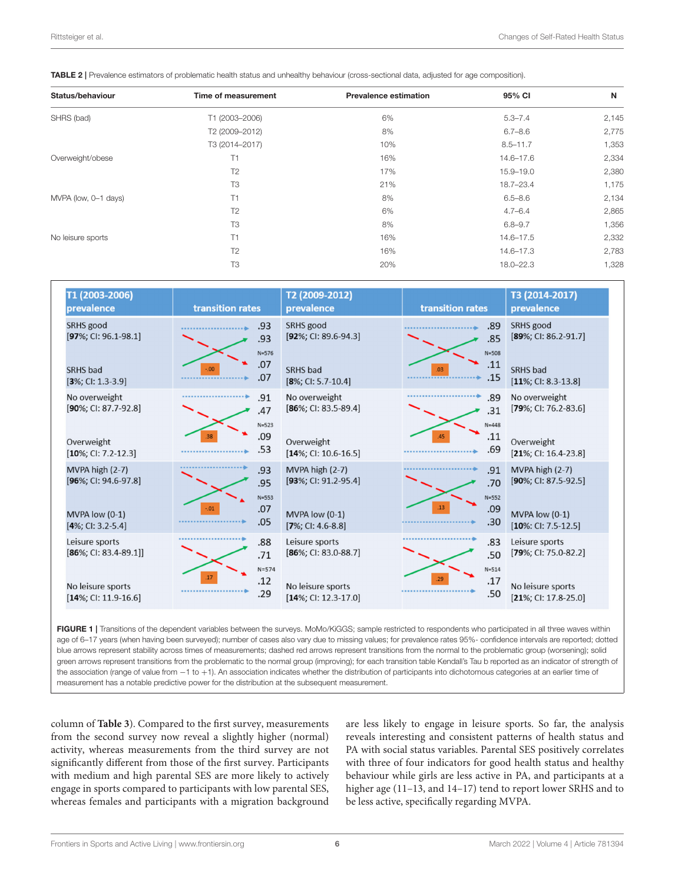<span id="page-5-0"></span>TABLE 2 | Prevalence estimators of problematic health status and unhealthy behaviour (cross-sectional data, adjusted for age composition).

| Status/behaviour     | Time of measurement | <b>Prevalence estimation</b> | 95% CI        | N     |
|----------------------|---------------------|------------------------------|---------------|-------|
| SHRS (bad)           | T1 (2003-2006)      | 6%                           | $5.3 - 7.4$   | 2,145 |
|                      | T2 (2009-2012)      | 8%                           | $6.7 - 8.6$   | 2,775 |
|                      | T3 (2014-2017)      | 10%                          | $8.5 - 11.7$  | 1,353 |
| Overweight/obese     | T1                  | 16%                          | 14.6-17.6     | 2,334 |
|                      | T <sub>2</sub>      | 17%                          | 15.9-19.0     | 2,380 |
|                      | T <sub>3</sub>      | 21%                          | 18.7-23.4     | 1,175 |
| MVPA (low, 0-1 days) | T1                  | 8%                           | $6.5 - 8.6$   | 2,134 |
|                      | T <sub>2</sub>      | 6%                           | $4.7 - 6.4$   | 2,865 |
|                      | T3                  | 8%                           | $6.8 - 9.7$   | 1,356 |
| No leisure sports    | T1                  | 16%                          | $14.6 - 17.5$ | 2,332 |
|                      | T <sub>2</sub>      | 16%                          | 14.6-17.3     | 2,783 |
|                      | T <sub>3</sub>      | 20%                          | 18.0-22.3     | 1,328 |

| T1 (2003-2006)<br>prevalence                 | transition rates |                         | T2 (2009-2012)<br>prevalence                 | transition rates |                         | T3 (2014-2017)<br>prevalence                 |
|----------------------------------------------|------------------|-------------------------|----------------------------------------------|------------------|-------------------------|----------------------------------------------|
| SRHS good<br>$[97\%; C1: 96.1-98.1]$         |                  | .93<br>.93<br>$N = 576$ | SRHS good<br>$[92\%; C1: 89.6-94.3]$         |                  | .89<br>.85<br>$N = 508$ | SRHS good<br>$[89\%; C1: 86.2-91.7]$         |
| <b>SRHS</b> bad<br>$[3\%; C1: 1.3-3.9]$      | .00              | .07<br>.07              | SRHS bad<br>$[8\%;$ CI: 5.7-10.4]            |                  | .11<br>.15              | SRHS bad<br>$[11\%; C1: 8.3-13.8]$           |
| No overweight<br>$[90\%; C1: 87.7-92.8]$     |                  | .91<br>.47<br>$N = 523$ | No overweight<br>$[86\%;$ CI: 83.5-89.4]     |                  | .89<br>.31<br>$N = 448$ | No overweight<br>$[79\%; CI: 76.2-83.6]$     |
| Overweight<br>$[10\%; C[:7.2-12.3]$          | 38               | .09<br>.53              | Overweight<br>$[14\%;$ CI: 10.6-16.5]        |                  | .11<br>.69              | Overweight<br>$[21\%; C1: 16.4-23.8]$        |
| MVPA high (2-7)<br>$[96\%;$ CI: 94.6-97.8]   |                  | .93<br>.95<br>$N = 553$ | MVPA high (2-7)<br>$[93\%; C1: 91.2-95.4]$   |                  | .91<br>.70<br>$N = 552$ | MVPA high (2-7)<br>$[90\%; C1: 87.5-92.5]$   |
| MVPA low (0-1)<br>$[4\%;$ CI: 3.2-5.4]       | $-01$            | .07<br>.05              | MVPA low (0-1)<br>$[7\%; C1: 4.6-8.8]$       | .13              | .09<br>.30              | MVPA low (0-1)<br>$[10\%:CI: 7.5-12.5]$      |
| Leisure sports<br>$[86\%;$ CI: 83.4-89.1]]   |                  | .88<br>.71<br>$N = 574$ | Leisure sports<br>$[86\%;$ CI: 83.0-88.7]    |                  | .83<br>.50<br>$N = 514$ | Leisure sports<br>$[79\%; CI: 75.0-82.2]$    |
| No leisure sports<br>$[14\%;$ CI: 11.9-16.6] | 17               | .12<br>.29              | No leisure sports<br>$[14\%;$ CI: 12.3-17.0] |                  | .17<br>.50              | No leisure sports<br>$[21\%; C1; 17.8-25.0]$ |

<span id="page-5-1"></span>FIGURE 1 | Transitions of the dependent variables between the surveys. MoMo/KiGGS; sample restricted to respondents who participated in all three waves within age of 6-17 years (when having been surveyed); number of cases also vary due to missing values; for prevalence rates 95%- confidence intervals are reported; dotted blue arrows represent stability across times of measurements; dashed red arrows represent transitions from the normal to the problematic group (worsening); solid green arrows represent transitions from the problematic to the normal group (improving); for each transition table Kendall's Tau b reported as an indicator of strength of the association (range of value from −1 to +1). An association indicates whether the distribution of participants into dichotomous categories at an earlier time of measurement has a notable predictive power for the distribution at the subsequent measurement.

column of **[Table 3](#page-6-0)**). Compared to the first survey, measurements from the second survey now reveal a slightly higher (normal) activity, whereas measurements from the third survey are not significantly different from those of the first survey. Participants with medium and high parental SES are more likely to actively engage in sports compared to participants with low parental SES, whereas females and participants with a migration background are less likely to engage in leisure sports. So far, the analysis reveals interesting and consistent patterns of health status and PA with social status variables. Parental SES positively correlates with three of four indicators for good health status and healthy behaviour while girls are less active in PA, and participants at a higher age (11-13, and 14-17) tend to report lower SRHS and to be less active, specifically regarding MVPA.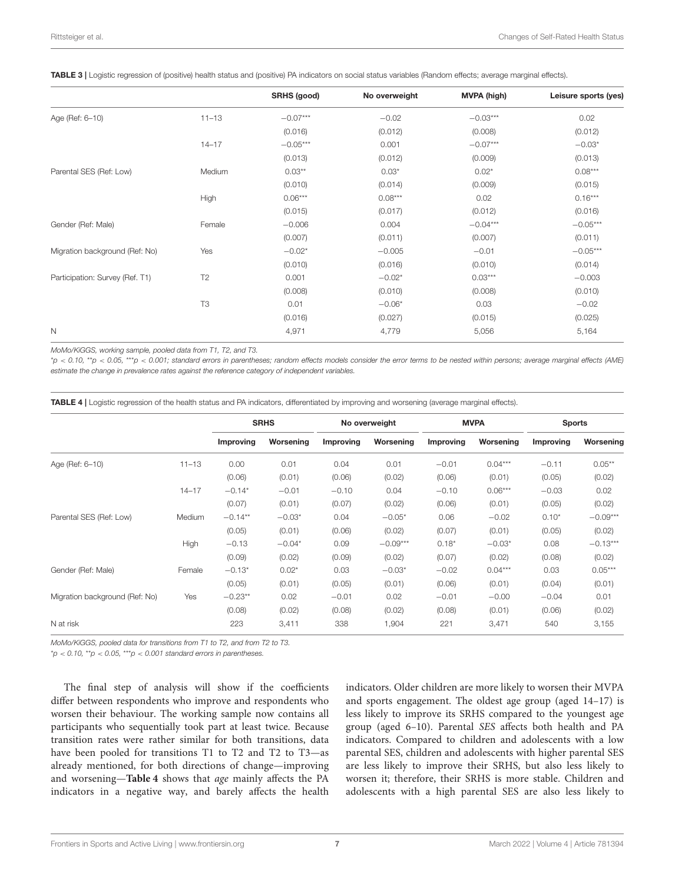<span id="page-6-0"></span>

|  | TABLE 3   Logistic regression of (positive) health status and (positive) PA indicators on social status variables (Random effects; average marginal effects). |
|--|---------------------------------------------------------------------------------------------------------------------------------------------------------------|
|  |                                                                                                                                                               |

|                                 |                | SRHS (good) | No overweight | <b>MVPA (high)</b> | Leisure sports (yes) |
|---------------------------------|----------------|-------------|---------------|--------------------|----------------------|
| Age (Ref: 6-10)                 | $11 - 13$      | $-0.07***$  | $-0.02$       | $-0.03***$         | 0.02                 |
|                                 |                | (0.016)     | (0.012)       | (0.008)            | (0.012)              |
|                                 | $14 - 17$      | $-0.05***$  | 0.001         | $-0.07***$         | $-0.03*$             |
|                                 |                | (0.013)     | (0.012)       | (0.009)            | (0.013)              |
| Parental SES (Ref: Low)         | Medium         | $0.03**$    | $0.03*$       | $0.02*$            | $0.08***$            |
|                                 |                | (0.010)     | (0.014)       | (0.009)            | (0.015)              |
|                                 | High           | $0.06***$   | $0.08***$     | 0.02               | $0.16***$            |
|                                 |                | (0.015)     | (0.017)       | (0.012)            | (0.016)              |
| Gender (Ref: Male)              | Female         | $-0.006$    | 0.004         | $-0.04***$         | $-0.05***$           |
|                                 |                | (0.007)     | (0.011)       | (0.007)            | (0.011)              |
| Migration background (Ref: No)  | Yes            | $-0.02*$    | $-0.005$      | $-0.01$            | $-0.05***$           |
|                                 |                | (0.010)     | (0.016)       | (0.010)            | (0.014)              |
| Participation: Survey (Ref. T1) | T2             | 0.001       | $-0.02*$      | $0.03***$          | $-0.003$             |
|                                 |                | (0.008)     | (0.010)       | (0.008)            | (0.010)              |
|                                 | T <sub>3</sub> | 0.01        | $-0.06*$      | 0.03               | $-0.02$              |
|                                 |                | (0.016)     | (0.027)       | (0.015)            | (0.025)              |
| N                               |                | 4,971       | 4,779         | 5,056              | 5,164                |

MoMo/KiGGS, working sample, pooled data from T1, T2, and T3.

\*p < 0.10, \*\*p < 0.05, \*\*\*p < 0.001; standard errors in parentheses; random effects models consider the error terms to be nested within persons; average marginal effects (AME) estimate the change in prevalence rates against the reference category of independent variables.

<span id="page-6-1"></span>TABLE 4 | Logistic regression of the health status and PA indicators, differentiated by improving and worsening (average marginal effects).

|                                |           | <b>SRHS</b> |           | No overweight |            | <b>MVPA</b> |           | <b>Sports</b> |            |
|--------------------------------|-----------|-------------|-----------|---------------|------------|-------------|-----------|---------------|------------|
|                                |           | Improving   | Worsening | Improving     | Worsening  | Improving   | Worsening | Improving     | Worsening  |
| Age (Ref: 6-10)                | $11 - 13$ | 0.00        | 0.01      | 0.04          | 0.01       | $-0.01$     | $0.04***$ | $-0.11$       | $0.05***$  |
|                                |           | (0.06)      | (0.01)    | (0.06)        | (0.02)     | (0.06)      | (0.01)    | (0.05)        | (0.02)     |
|                                | $14 - 17$ | $-0.14*$    | $-0.01$   | $-0.10$       | 0.04       | $-0.10$     | $0.06***$ | $-0.03$       | 0.02       |
|                                |           | (0.07)      | (0.01)    | (0.07)        | (0.02)     | (0.06)      | (0.01)    | (0.05)        | (0.02)     |
| Parental SES (Ref: Low)        | Medium    | $-0.14**$   | $-0.03*$  | 0.04          | $-0.05*$   | 0.06        | $-0.02$   | $0.10*$       | $-0.09***$ |
|                                |           | (0.05)      | (0.01)    | (0.06)        | (0.02)     | (0.07)      | (0.01)    | (0.05)        | (0.02)     |
|                                | High      | $-0.13$     | $-0.04*$  | 0.09          | $-0.09***$ | $0.18*$     | $-0.03*$  | 0.08          | $-0.13***$ |
|                                |           | (0.09)      | (0.02)    | (0.09)        | (0.02)     | (0.07)      | (0.02)    | (0.08)        | (0.02)     |
| Gender (Ref: Male)             | Female    | $-0.13*$    | $0.02*$   | 0.03          | $-0.03*$   | $-0.02$     | $0.04***$ | 0.03          | $0.05***$  |
|                                |           | (0.05)      | (0.01)    | (0.05)        | (0.01)     | (0.06)      | (0.01)    | (0.04)        | (0.01)     |
| Migration background (Ref: No) | Yes       | $-0.23**$   | 0.02      | $-0.01$       | 0.02       | $-0.01$     | $-0.00$   | $-0.04$       | 0.01       |
|                                |           | (0.08)      | (0.02)    | (0.08)        | (0.02)     | (0.08)      | (0.01)    | (0.06)        | (0.02)     |
| N at risk                      |           | 223         | 3,411     | 338           | 1,904      | 221         | 3,471     | 540           | 3,155      |

MoMo/KiGGS, pooled data for transitions from T1 to T2, and from T2 to T3.

 $p'$ o < 0.10, \*\*p < 0.05, \*\*\*p < 0.001 standard errors in parentheses.

The final step of analysis will show if the coefficients differ between respondents who improve and respondents who worsen their behaviour. The working sample now contains all participants who sequentially took part at least twice. Because transition rates were rather similar for both transitions, data have been pooled for transitions T1 to T2 and T2 to T3—as already mentioned, for both directions of change—improving and worsening—**[Table 4](#page-6-1)** shows that age mainly affects the PA indicators in a negative way, and barely affects the health

indicators. Older children are more likely to worsen their MVPA and sports engagement. The oldest age group (aged 14–17) is less likely to improve its SRHS compared to the youngest age group (aged 6–10). Parental SES affects both health and PA indicators. Compared to children and adolescents with a low parental SES, children and adolescents with higher parental SES are less likely to improve their SRHS, but also less likely to worsen it; therefore, their SRHS is more stable. Children and adolescents with a high parental SES are also less likely to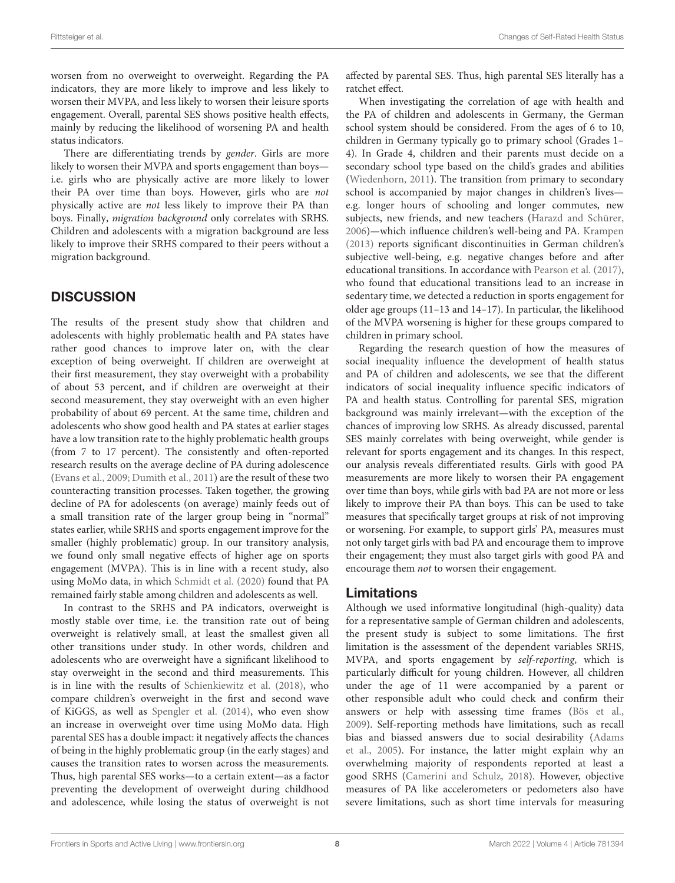worsen from no overweight to overweight. Regarding the PA indicators, they are more likely to improve and less likely to worsen their MVPA, and less likely to worsen their leisure sports engagement. Overall, parental SES shows positive health effects, mainly by reducing the likelihood of worsening PA and health status indicators.

There are differentiating trends by gender. Girls are more likely to worsen their MVPA and sports engagement than boys i.e. girls who are physically active are more likely to lower their PA over time than boys. However, girls who are not physically active are not less likely to improve their PA than boys. Finally, migration background only correlates with SRHS. Children and adolescents with a migration background are less likely to improve their SRHS compared to their peers without a migration background.

### **DISCUSSION**

The results of the present study show that children and adolescents with highly problematic health and PA states have rather good chances to improve later on, with the clear exception of being overweight. If children are overweight at their first measurement, they stay overweight with a probability of about 53 percent, and if children are overweight at their second measurement, they stay overweight with an even higher probability of about 69 percent. At the same time, children and adolescents who show good health and PA states at earlier stages have a low transition rate to the highly problematic health groups (from 7 to 17 percent). The consistently and often-reported research results on the average decline of PA during adolescence [\(Evans et al., 2009;](#page-9-4) [Dumith et al., 2011\)](#page-9-6) are the result of these two counteracting transition processes. Taken together, the growing decline of PA for adolescents (on average) mainly feeds out of a small transition rate of the larger group being in "normal" states earlier, while SRHS and sports engagement improve for the smaller (highly problematic) group. In our transitory analysis, we found only small negative effects of higher age on sports engagement (MVPA). This is in line with a recent study, also using MoMo data, in which [Schmidt et al. \(2020\)](#page-10-3) found that PA remained fairly stable among children and adolescents as well.

In contrast to the SRHS and PA indicators, overweight is mostly stable over time, i.e. the transition rate out of being overweight is relatively small, at least the smallest given all other transitions under study. In other words, children and adolescents who are overweight have a significant likelihood to stay overweight in the second and third measurements. This is in line with the results of [Schienkiewitz et al. \(2018\)](#page-10-9), who compare children's overweight in the first and second wave of KiGGS, as well as [Spengler et al. \(2014\)](#page-10-10), who even show an increase in overweight over time using MoMo data. High parental SES has a double impact: it negatively affects the chances of being in the highly problematic group (in the early stages) and causes the transition rates to worsen across the measurements. Thus, high parental SES works—to a certain extent—as a factor preventing the development of overweight during childhood and adolescence, while losing the status of overweight is not affected by parental SES. Thus, high parental SES literally has a ratchet effect.

When investigating the correlation of age with health and the PA of children and adolescents in Germany, the German school system should be considered. From the ages of 6 to 10, children in Germany typically go to primary school (Grades 1– 4). In Grade 4, children and their parents must decide on a secondary school type based on the child's grades and abilities [\(Wiedenhorn, 2011\)](#page-10-11). The transition from primary to secondary school is accompanied by major changes in children's lives e.g. longer hours of schooling and longer commutes, new subjects, new friends, and new teachers [\(Harazd and Schürer,](#page-9-26) [2006\)](#page-9-26)—which influence children's well-being and PA. [Krampen](#page-9-27) [\(2013\)](#page-9-27) reports significant discontinuities in German children's subjective well-being, e.g. negative changes before and after educational transitions. In accordance with [Pearson et al. \(2017\)](#page-9-1), who found that educational transitions lead to an increase in sedentary time, we detected a reduction in sports engagement for older age groups (11–13 and 14–17). In particular, the likelihood of the MVPA worsening is higher for these groups compared to children in primary school.

Regarding the research question of how the measures of social inequality influence the development of health status and PA of children and adolescents, we see that the different indicators of social inequality influence specific indicators of PA and health status. Controlling for parental SES, migration background was mainly irrelevant—with the exception of the chances of improving low SRHS. As already discussed, parental SES mainly correlates with being overweight, while gender is relevant for sports engagement and its changes. In this respect, our analysis reveals differentiated results. Girls with good PA measurements are more likely to worsen their PA engagement over time than boys, while girls with bad PA are not more or less likely to improve their PA than boys. This can be used to take measures that specifically target groups at risk of not improving or worsening. For example, to support girls' PA, measures must not only target girls with bad PA and encourage them to improve their engagement; they must also target girls with good PA and encourage them not to worsen their engagement.

#### Limitations

Although we used informative longitudinal (high-quality) data for a representative sample of German children and adolescents, the present study is subject to some limitations. The first limitation is the assessment of the dependent variables SRHS, MVPA, and sports engagement by self-reporting, which is particularly difficult for young children. However, all children under the age of 11 were accompanied by a parent or other responsible adult who could check and confirm their answers or help with assessing time frames [\(Bös et al.,](#page-9-28) [2009\)](#page-9-28). Self-reporting methods have limitations, such as recall bias and biassed answers due to social desirability (Adams et al., [2005\)](#page-9-29). For instance, the latter might explain why an overwhelming majority of respondents reported at least a good SRHS [\(Camerini and Schulz, 2018\)](#page-9-30). However, objective measures of PA like accelerometers or pedometers also have severe limitations, such as short time intervals for measuring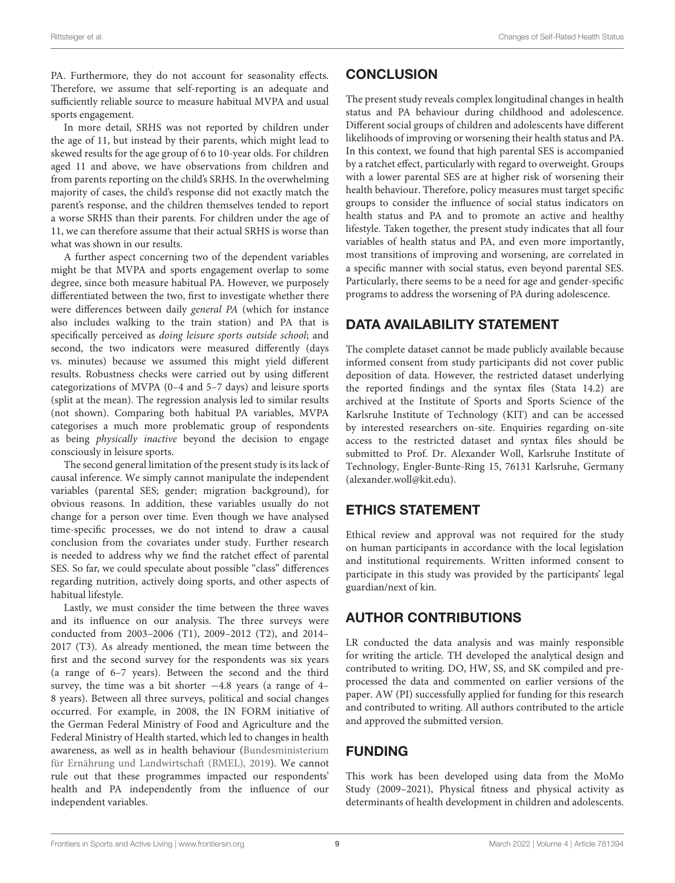PA. Furthermore, they do not account for seasonality effects. Therefore, we assume that self-reporting is an adequate and sufficiently reliable source to measure habitual MVPA and usual sports engagement.

In more detail, SRHS was not reported by children under the age of 11, but instead by their parents, which might lead to skewed results for the age group of 6 to 10-year olds. For children aged 11 and above, we have observations from children and from parents reporting on the child's SRHS. In the overwhelming majority of cases, the child's response did not exactly match the parent's response, and the children themselves tended to report a worse SRHS than their parents. For children under the age of 11, we can therefore assume that their actual SRHS is worse than what was shown in our results.

A further aspect concerning two of the dependent variables might be that MVPA and sports engagement overlap to some degree, since both measure habitual PA. However, we purposely differentiated between the two, first to investigate whether there were differences between daily general PA (which for instance also includes walking to the train station) and PA that is specifically perceived as doing leisure sports outside school; and second, the two indicators were measured differently (days vs. minutes) because we assumed this might yield different results. Robustness checks were carried out by using different categorizations of MVPA (0–4 and 5–7 days) and leisure sports (split at the mean). The regression analysis led to similar results (not shown). Comparing both habitual PA variables, MVPA categorises a much more problematic group of respondents as being physically inactive beyond the decision to engage consciously in leisure sports.

The second general limitation of the present study is its lack of causal inference. We simply cannot manipulate the independent variables (parental SES; gender; migration background), for obvious reasons. In addition, these variables usually do not change for a person over time. Even though we have analysed time-specific processes, we do not intend to draw a causal conclusion from the covariates under study. Further research is needed to address why we find the ratchet effect of parental SES. So far, we could speculate about possible "class" differences regarding nutrition, actively doing sports, and other aspects of habitual lifestyle.

Lastly, we must consider the time between the three waves and its influence on our analysis. The three surveys were conducted from 2003–2006 (T1), 2009–2012 (T2), and 2014– 2017 (T3). As already mentioned, the mean time between the first and the second survey for the respondents was six years (a range of 6–7 years). Between the second and the third survey, the time was a bit shorter  $-4.8$  years (a range of  $4-$ 8 years). Between all three surveys, political and social changes occurred. For example, in 2008, the IN FORM initiative of the German Federal Ministry of Food and Agriculture and the Federal Ministry of Health started, which led to changes in health awareness, as well as in health behaviour (Bundesministerium für Ernährung und Landwirtschaft (BMEL), [2019\)](#page-9-31). We cannot rule out that these programmes impacted our respondents' health and PA independently from the influence of our independent variables.

# **CONCLUSION**

The present study reveals complex longitudinal changes in health status and PA behaviour during childhood and adolescence. Different social groups of children and adolescents have different likelihoods of improving or worsening their health status and PA. In this context, we found that high parental SES is accompanied by a ratchet effect, particularly with regard to overweight. Groups with a lower parental SES are at higher risk of worsening their health behaviour. Therefore, policy measures must target specific groups to consider the influence of social status indicators on health status and PA and to promote an active and healthy lifestyle. Taken together, the present study indicates that all four variables of health status and PA, and even more importantly, most transitions of improving and worsening, are correlated in a specific manner with social status, even beyond parental SES. Particularly, there seems to be a need for age and gender-specific programs to address the worsening of PA during adolescence.

# DATA AVAILABILITY STATEMENT

The complete dataset cannot be made publicly available because informed consent from study participants did not cover public deposition of data. However, the restricted dataset underlying the reported findings and the syntax files (Stata 14.2) are archived at the Institute of Sports and Sports Science of the Karlsruhe Institute of Technology (KIT) and can be accessed by interested researchers on-site. Enquiries regarding on-site access to the restricted dataset and syntax files should be submitted to Prof. Dr. Alexander Woll, Karlsruhe Institute of Technology, Engler-Bunte-Ring 15, 76131 Karlsruhe, Germany [\(alexander.woll@kit.edu\)](mailto:alexander.woll@kit.edu).

# ETHICS STATEMENT

Ethical review and approval was not required for the study on human participants in accordance with the local legislation and institutional requirements. Written informed consent to participate in this study was provided by the participants' legal guardian/next of kin.

# AUTHOR CONTRIBUTIONS

LR conducted the data analysis and was mainly responsible for writing the article. TH developed the analytical design and contributed to writing. DO, HW, SS, and SK compiled and preprocessed the data and commented on earlier versions of the paper. AW (PI) successfully applied for funding for this research and contributed to writing. All authors contributed to the article and approved the submitted version.

# FUNDING

This work has been developed using data from the MoMo Study (2009–2021), Physical fitness and physical activity as determinants of health development in children and adolescents.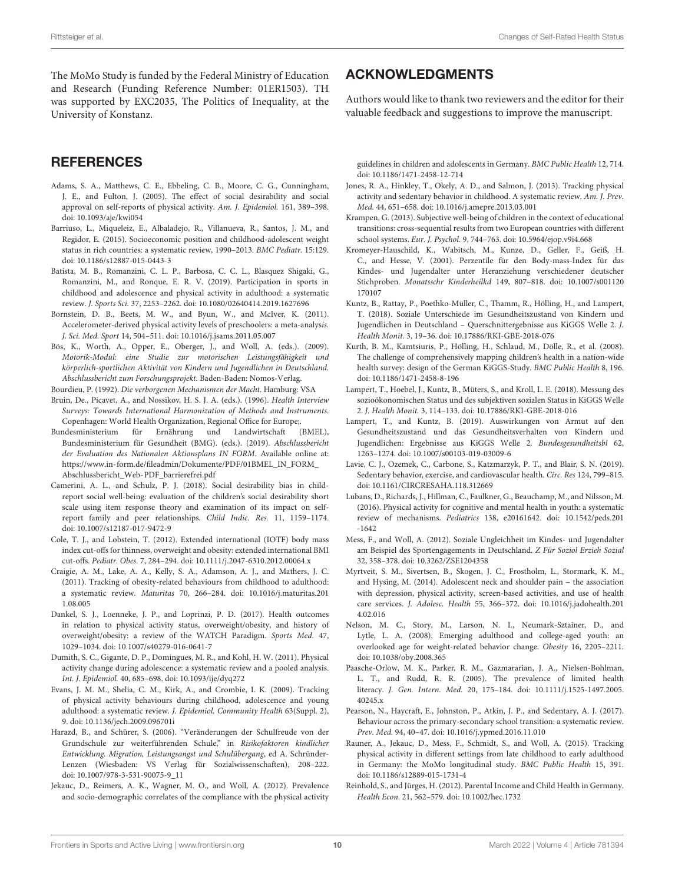The MoMo Study is funded by the Federal Ministry of Education and Research (Funding Reference Number: 01ER1503). TH was supported by EXC2035, The Politics of Inequality, at the University of Konstanz.

### **REFERENCES**

- <span id="page-9-29"></span>Adams, S. A., Matthews, C. E., Ebbeling, C. B., Moore, C. G., Cunningham, J. E., and Fulton, J. (2005). The effect of social desirability and social approval on self-reports of physical activity. Am. J. Epidemiol. 161, 389–398. doi: [10.1093/aje/kwi054](https://doi.org/10.1093/aje/kwi054)
- <span id="page-9-10"></span>Barriuso, L., Miqueleiz, E., Albaladejo, R., Villanueva, R., Santos, J. M., and Regidor, E. (2015). Socioeconomic position and childhood-adolescent weight status in rich countries: a systematic review, 1990–2013. BMC Pediatr. 15:129. doi: [10.1186/s12887-015-0443-3](https://doi.org/10.1186/s12887-015-0443-3)
- <span id="page-9-3"></span>Batista, M. B., Romanzini, C. L. P., Barbosa, C. C. L., Blasquez Shigaki, G., Romanzini, M., and Ronque, E. R. V. (2019). Participation in sports in childhood and adolescence and physical activity in adulthood: a systematic review. J. Sports Sci. 37, 2253–2262. doi: [10.1080/02640414.2019.1627696](https://doi.org/10.1080/02640414.2019.1627696)
- <span id="page-9-23"></span>Bornstein, D. B., Beets, M. W., and Byun, W., and McIver, K. (2011). Accelerometer-derived physical activity levels of preschoolers: a meta-analysis. J. Sci. Med. Sport 14, 504–511. doi: [10.1016/j.jsams.2011.05.007](https://doi.org/10.1016/j.jsams.2011.05.007)
- <span id="page-9-28"></span>Bös, K., Worth, A., Opper, E., Oberger, J., and Woll, A. (eds.). (2009). Motorik-Modul: eine Studie zur motorischen Leistungsfähigkeit und körperlich-sportlichen Aktivität von Kindern und Jugendlichen in Deutschland. Abschlussbericht zum Forschungsprojekt. Baden-Baden: Nomos-Verlag.

<span id="page-9-13"></span>Bourdieu, P. (1992). Die verborgenen Mechanismen der Macht. Hamburg: VSA

- <span id="page-9-22"></span>Bruin, De., Picavet, A., and Nossikov, H. S. J. A. (eds.). (1996). Health Interview Surveys: Towards International Harmonization of Methods and Instruments. Copenhagen: World Health Organization, Regional Office for Europe;.
- <span id="page-9-31"></span>Bundesministerium für Ernährung und Landwirtschaft (BMEL), Bundesministerium für Gesundheit (BMG). (eds.). (2019). Abschlussbericht der Evaluation des Nationalen Aktionsplans IN FORM. Available online at: [https://www.in-form.de/fileadmin/Dokumente/PDF/01BMEL\\_IN\\_FORM\\_](https://www.in-form.de/fileadmin/Dokumente/PDF/01BMEL_IN_FORM_Abschlussbericht_Web-PDF_barrierefrei.pdf) [Abschlussbericht\\_Web-PDF\\_barrierefrei.pdf](https://www.in-form.de/fileadmin/Dokumente/PDF/01BMEL_IN_FORM_Abschlussbericht_Web-PDF_barrierefrei.pdf)
- <span id="page-9-30"></span>Camerini, A. L., and Schulz, P. J. (2018). Social desirability bias in childreport social well-being: evaluation of the children's social desirability short scale using item response theory and examination of its impact on selfreport family and peer relationships. Child Indic. Res. 11, 1159–1174. doi: [10.1007/s12187-017-9472-9](https://doi.org/10.1007/s12187-017-9472-9)
- <span id="page-9-21"></span>Cole, T. J., and Lobstein, T. (2012). Extended international (IOTF) body mass index cut-offs for thinness, overweight and obesity: extended international BMI cut-offs. Pediatr. Obes. 7, 284–294. doi: [10.1111/j.2047-6310.2012.00064.x](https://doi.org/10.1111/j.2047-6310.2012.00064.x)
- <span id="page-9-2"></span>Craigie, A. M., Lake, A. A., Kelly, S. A., Adamson, A. J., and Mathers, J. C. (2011). Tracking of obesity-related behaviours from childhood to adulthood: a systematic review. Maturitas [70, 266–284. doi: 10.1016/j.maturitas.201](https://doi.org/10.1016/j.maturitas.2011.08.005) 1.08.005
- <span id="page-9-19"></span>Dankel, S. J., Loenneke, J. P., and Loprinzi, P. D. (2017). Health outcomes in relation to physical activity status, overweight/obesity, and history of overweight/obesity: a review of the WATCH Paradigm. Sports Med. 47, 1029–1034. doi: [10.1007/s40279-016-0641-7](https://doi.org/10.1007/s40279-016-0641-7)
- <span id="page-9-6"></span>Dumith, S. C., Gigante, D. P., Domingues, M. R., and Kohl, H. W. (2011). Physical activity change during adolescence: a systematic review and a pooled analysis. Int. J. Epidemiol. 40, 685–698. doi: [10.1093/ije/dyq272](https://doi.org/10.1093/ije/dyq272)
- <span id="page-9-4"></span>Evans, J. M. M., Shelia, C. M., Kirk, A., and Crombie, I. K. (2009). Tracking of physical activity behaviours during childhood, adolescence and young adulthood: a systematic review. J. Epidemiol. Community Health 63(Suppl. 2), 9. doi: [10.1136/jech.2009.096701i](https://doi.org/10.1136/jech.2009.096701i)
- <span id="page-9-26"></span>Harazd, B., and Schürer, S. (2006). "Veränderungen der Schulfreude von der Grundschule zur weiterführenden Schule," in Risikofaktoren kindlicher Entwicklung. Migration, Leistungsangst und Schulübergang, ed A. Schründer-Lenzen (Wiesbaden: VS Verlag für Sozialwissenschaften), 208–222. doi: [10.1007/978-3-531-90075-9\\_11](https://doi.org/10.1007/978-3-531-90075-9_11)
- <span id="page-9-24"></span>Jekauc, D., Reimers, A. K., Wagner, M. O., and Woll, A. (2012). Prevalence and socio-demographic correlates of the compliance with the physical activity

# ACKNOWLEDGMENTS

Authors would like to thank two reviewers and the editor for their valuable feedback and suggestions to improve the manuscript.

guidelines in children and adolescents in Germany. BMC Public Health 12, 714. doi: [10.1186/1471-2458-12-714](https://doi.org/10.1186/1471-2458-12-714)

- <span id="page-9-5"></span>Jones, R. A., Hinkley, T., Okely, A. D., and Salmon, J. (2013). Tracking physical activity and sedentary behavior in childhood. A systematic review. Am. J. Prev. Med. 44, 651–658. doi: [10.1016/j.amepre.2013.03.001](https://doi.org/10.1016/j.amepre.2013.03.001)
- <span id="page-9-27"></span>Krampen, G. (2013). Subjective well-being of children in the context of educational transitions: cross-sequential results from two European countries with different school systems. Eur. J. Psychol. 9, 744–763. doi: [10.5964/ejop.v9i4.668](https://doi.org/10.5964/ejop.v9i4.668)
- <span id="page-9-20"></span>Kromeyer-Hauschild, K., Wabitsch, M., Kunze, D., Geller, F., Geiß, H. C., and Hesse, V. (2001). Perzentile für den Body-mass-Index für das Kindes- und Jugendalter unter Heranziehung verschiedener deutscher Stichproben. Monatsschr Kinderheilkd [149, 807–818. doi: 10.1007/s001120](https://doi.org/10.1007/s001120170107) 170107
- <span id="page-9-12"></span>Kuntz, B., Rattay, P., Poethko-Müller, C., Thamm, R., Hölling, H., and Lampert, T. (2018). Soziale Unterschiede im Gesundheitszustand von Kindern und Jugendlichen in Deutschland – Querschnittergebnisse aus KiGGS Welle 2. J. Health Monit. 3, 19–36. doi: [10.17886/RKI-GBE-2018-076](https://doi.org/10.17886/RKI-GBE-2018-076)
- <span id="page-9-15"></span>Kurth, B. M., Kamtsiuris, P., Hölling, H., Schlaud, M., Dölle, R., et al. (2008). The challenge of comprehensively mapping children's health in a nation-wide health survey: design of the German KiGGS-Study. BMC Public Health 8, 196. doi: [10.1186/1471-2458-8-196](https://doi.org/10.1186/1471-2458-8-196)
- <span id="page-9-25"></span>Lampert, T., Hoebel, J., Kuntz, B., Müters, S., and Kroll, L. E. (2018). Messung des sozioökonomischen Status und des subjektiven sozialen Status in KiGGS Welle 2. J. Health Monit. 3, 114–133. doi: [10.17886/RKI-GBE-2018-016](https://doi.org/10.17886/RKI-GBE-2018-016)
- <span id="page-9-8"></span>Lampert, T., and Kuntz, B. (2019). Auswirkungen von Armut auf den Gesundheitszustand und das Gesundheitsverhalten von Kindern und Jugendlichen: Ergebnisse aus KiGGS Welle 2. Bundesgesundheitsbl 62, 1263–1274. doi: [10.1007/s00103-019-03009-6](https://doi.org/10.1007/s00103-019-03009-6)
- <span id="page-9-16"></span>Lavie, C. J., Ozemek, C., Carbone, S., Katzmarzyk, P. T., and Blair, S. N. (2019). Sedentary behavior, exercise, and cardiovascular health. Circ. Res 124, 799–815. doi: [10.1161/CIRCRESAHA.118.312669](https://doi.org/10.1161/CIRCRESAHA.118.312669)
- <span id="page-9-18"></span>Lubans, D., Richards, J., Hillman, C., Faulkner, G., Beauchamp, M., and Nilsson, M. (2016). Physical activity for cognitive and mental health in youth: a systematic review of mechanisms. Pediatrics [138, e20161642. doi: 10.1542/peds.201](https://doi.org/10.1542/peds.2016-1642) -1642
- <span id="page-9-9"></span>Mess, F., and Woll, A. (2012). Soziale Ungleichheit im Kindes- und Jugendalter am Beispiel des Sportengagements in Deutschland. Z Für Soziol Erzieh Sozial 32, 358–378. doi: [10.3262/ZSE1204358](https://doi.org/10.3262/ZSE1204358)
- <span id="page-9-17"></span>Myrtveit, S. M., Sivertsen, B., Skogen, J. C., Frostholm, L., Stormark, K. M., and Hysing, M. (2014). Adolescent neck and shoulder pain – the association with depression, physical activity, screen-based activities, and use of health care services. J. Adolesc. Health [55, 366–372. doi: 10.1016/j.jadohealth.201](https://doi.org/10.1016/j.jadohealth.2014.02.016) 4.02.016
- <span id="page-9-0"></span>Nelson, M. C., Story, M., Larson, N. I., Neumark-Sztainer, D., and Lytle, L. A. (2008). Emerging adulthood and college-aged youth: an overlooked age for weight-related behavior change. Obesity 16, 2205–2211. doi: [10.1038/oby.2008.365](https://doi.org/10.1038/oby.2008.365)
- <span id="page-9-14"></span>Paasche-Orlow, M. K., Parker, R. M., Gazmararian, J. A., Nielsen-Bohlman, L. T., and Rudd, R. R. (2005). The prevalence of limited health literacy. J. Gen. Intern. Med. [20, 175–184. doi: 10.1111/j.1525-1497.2005.](https://doi.org/10.1111/j.1525-1497.2005.40245.x) 40245.x
- <span id="page-9-1"></span>Pearson, N., Haycraft, E., Johnston, P., Atkin, J. P., and Sedentary, A. J. (2017). Behaviour across the primary-secondary school transition: a systematic review. Prev. Med. 94, 40–47. doi: [10.1016/j.ypmed.2016.11.010](https://doi.org/10.1016/j.ypmed.2016.11.010)
- <span id="page-9-7"></span>Rauner, A., Jekauc, D., Mess, F., Schmidt, S., and Woll, A. (2015). Tracking physical activity in different settings from late childhood to early adulthood in Germany: the MoMo longitudinal study. BMC Public Health 15, 391. doi: [10.1186/s12889-015-1731-4](https://doi.org/10.1186/s12889-015-1731-4)
- <span id="page-9-11"></span>Reinhold, S., and Jürges, H. (2012). Parental Income and Child Health in Germany. Health Econ. 21, 562–579. doi: [10.1002/hec.1732](https://doi.org/10.1002/hec.1732)